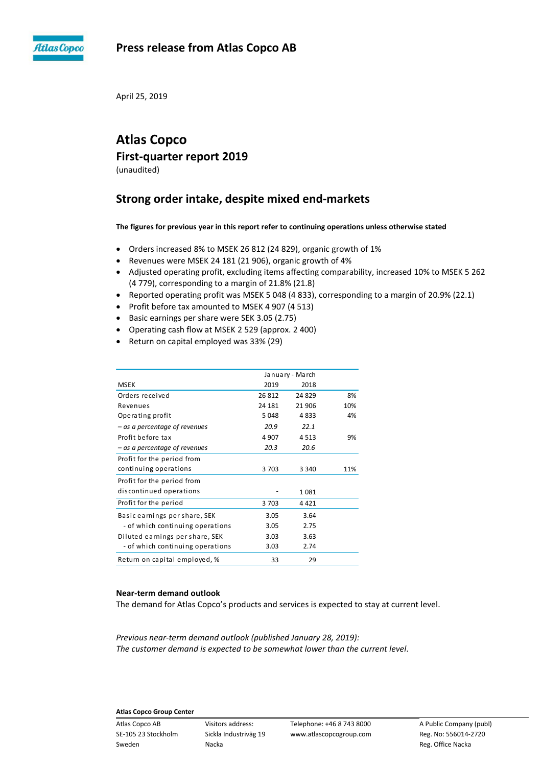

# **Press release from Atlas Copco AB**

April 25, 2019

# **Atlas Copco First-quarter report 2019**

(unaudited)

# **Strong order intake, despite mixed end-markets**

**The figures for previous year in this report refer to continuing operations unless otherwise stated**

- Orders increased 8% to MSEK 26 812 (24 829), organic growth of 1%
- Revenues were MSEK 24 181 (21 906), organic growth of 4%
- Adjusted operating profit, excluding items affecting comparability, increased 10% to MSEK 5 262 (4 779), corresponding to a margin of 21.8% (21.8)
- Reported operating profit was MSEK 5 048 (4 833), corresponding to a margin of 20.9% (22.1)
- Profit before tax amounted to MSEK 4 907 (4 513)
- Basic earnings per share were SEK 3.05 (2.75)
- Operating cash flow at MSEK 2 529 (approx. 2 400)
- Return on capital employed was 33% (29)

|                                  |         | January - March |     |
|----------------------------------|---------|-----------------|-----|
| <b>MSEK</b>                      | 2019    | 2018            |     |
| Orders received                  | 26 812  | 24 829          | 8%  |
| Revenues                         | 24 181  | 21 906          | 10% |
| Operating profit                 | 5048    | 4833            | 4%  |
| - as a percentage of revenues    | 20.9    | 22.1            |     |
| Profit before tax                | 4 9 0 7 | 4513            | 9%  |
| - as a percentage of revenues    | 20.3    | 20.6            |     |
| Profit for the period from       |         |                 |     |
| continuing operations            | 3703    | 3 3 4 0         | 11% |
| Profit for the period from       |         |                 |     |
| discontinued operations          |         | 1081            |     |
| Profit for the period            | 3703    | 4 4 2 1         |     |
| Basic earnings per share, SEK    | 3.05    | 3.64            |     |
| - of which continuing operations | 3.05    | 2.75            |     |
| Diluted earnings per share, SEK  | 3.03    | 3.63            |     |
| - of which continuing operations | 3.03    | 2.74            |     |
| Return on capital employed, %    | 33      | 29              |     |

# **Near-term demand outlook**

The demand for Atlas Copco's products and services is expected to stay at current level.

*Previous near-term demand outlook (published January 28, 2019): The customer demand is expected to be somewhat lower than the current level.*

# **Atlas Copco Group Center**

Sweden **Nacka** Nacka Reg. Office Nacka Reg. Office Nacka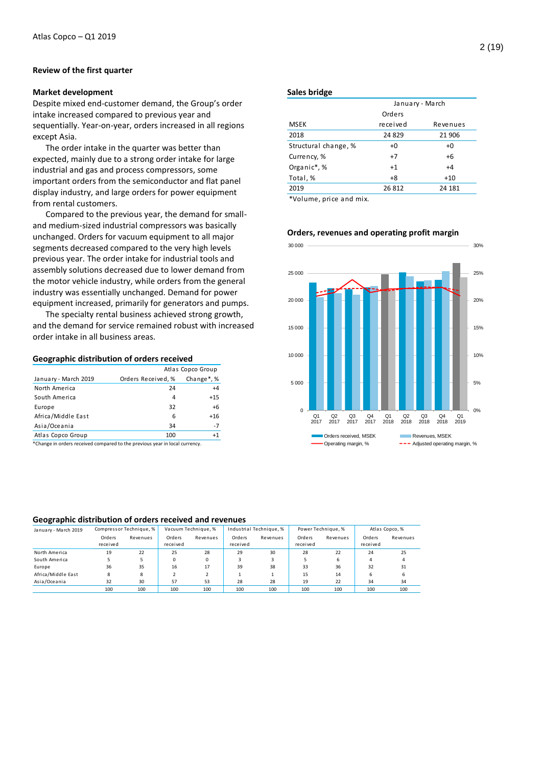# **Review of the first quarter**

### **Market development**

Despite mixed end-customer demand, the Group's order intake increased compared to previous year and sequentially. Year-on-year, orders increased in all regions except Asia.

The order intake in the quarter was better than expected, mainly due to a strong order intake for large industrial and gas and process compressors, some important orders from the semiconductor and flat panel display industry, and large orders for power equipment from rental customers.

Compared to the previous year, the demand for smalland medium-sized industrial compressors was basically unchanged. Orders for vacuum equipment to all major segments decreased compared to the very high levels previous year. The order intake for industrial tools and assembly solutions decreased due to lower demand from the motor vehicle industry, while orders from the general industry was essentially unchanged. Demand for power equipment increased, primarily for generators and pumps.

The specialty rental business achieved strong growth, and the demand for service remained robust with increased order intake in all business areas.

### **Geographic distribution of orders received**

|                      | Atlas Copco Group  |                |  |  |
|----------------------|--------------------|----------------|--|--|
| January - March 2019 | Orders Received, % | Change $*$ , % |  |  |
| North America        | 24                 | $+4$           |  |  |
| South America        | 4                  | $+15$          |  |  |
| Europe               | 32                 | $+6$           |  |  |
| Africa/Middle East   | 6                  | $+16$          |  |  |
| Asia/Oceania         | 34                 | $-7$           |  |  |
| Atlas Copco Group    | 100                | $+1$           |  |  |
|                      |                    |                |  |  |

\*Change in orders received compared to the previous year in local currency.

#### **Sales bridge**

| January - March |          |  |  |
|-----------------|----------|--|--|
| Orders          |          |  |  |
| received        | Revenues |  |  |
| 24 8 29         | 21 906   |  |  |
| +0              | $+0$     |  |  |
| $+7$            | $+6$     |  |  |
| $+1$            | $+4$     |  |  |
| +8              | $+10$    |  |  |
| 26 812          | 24 181   |  |  |
|                 |          |  |  |

\*Volume, price and mix.



#### **Orders, revenues and operating profit margin**

# **Geographic distribution of orders received and revenues**

| January - March 2019 |                    | Compressor Technique, % |                    | Vacuum Technique, % |                    | Industrial Technique, % |                    | Power Technique, % |                    | Atlas Copco, % |
|----------------------|--------------------|-------------------------|--------------------|---------------------|--------------------|-------------------------|--------------------|--------------------|--------------------|----------------|
|                      | Orders<br>received | Revenues                | Orders<br>received | Revenues            | Orders<br>received | Revenues                | Orders<br>received | Revenues           | Orders<br>received | Revenues       |
| North America        | 19                 | 22                      | 25                 | 28                  | 29                 | 30                      | 28                 | 22                 | 24                 | 25             |
| South America        |                    |                         | $\Omega$           | $\Omega$            |                    |                         |                    | h                  | 4                  |                |
| Europe               | 36                 | 35                      | 16                 | 17                  | 39                 | 38                      | 33                 | 36                 | 32                 | 31             |
| Africa/Middle East   | 8                  | 8                       |                    |                     |                    |                         | 15                 | 14                 | 6                  | 6              |
| Asia/Oceania         | 32                 | 30                      | 57                 | 53                  | 28                 | 28                      | 19                 | 22                 | 34                 | 34             |
|                      | 100                | 100                     | 100                | 100                 | 100                | 100                     | 100                | 100                | 100                | 100            |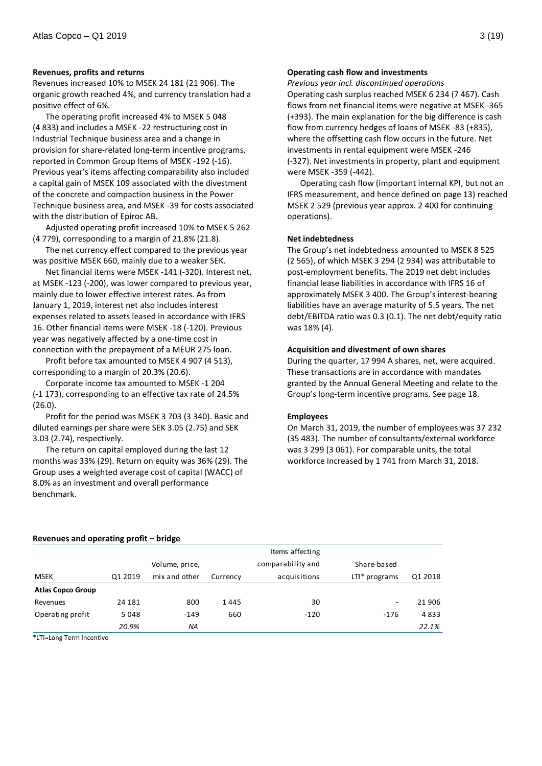# **Revenues, profits and returns**

Revenues increased 10% to MSEK 24 181 (21 906). The organic growth reached 4%, and currency translation had a positive effect of 6%.

The operating profit increased 4% to MSEK 5 048 (4 833) and includes a MSEK -22 restructuring cost in Industrial Technique business area and a change in provision for share-related long-term incentive programs, reported in Common Group Items of MSEK -192 (-16). Previous year's items affecting comparability also included a capital gain of MSEK 109 associated with the divestment of the concrete and compaction business in the Power Technique business area, and MSEK -39 for costs associated with the distribution of Epiroc AB.

Adjusted operating profit increased 10% to MSEK 5 262 (4 779), corresponding to a margin of 21.8% (21.8).

The net currency effect compared to the previous year was positive MSEK 660, mainly due to a weaker SEK.

Net financial items were MSEK -141 (-320). Interest net, at MSEK -123 (-200), was lower compared to previous year, mainly due to lower effective interest rates. As from January 1, 2019, interest net also includes interest expenses related to assets leased in accordance with IFRS 16. Other financial items were MSEK -18 (-120). Previous year was negatively affected by a one-time cost in connection with the prepayment of a MEUR 275 loan.

Profit before tax amounted to MSEK 4 907 (4 513), corresponding to a margin of 20.3% (20.6).

Corporate income tax amounted to MSEK -1 204 (-1 173), corresponding to an effective tax rate of 24.5% (26.0).

Profit for the period was MSEK 3 703 (3 340). Basic and diluted earnings per share were SEK 3.05 (2.75) and SEK 3.03 (2.74), respectively.

The return on capital employed during the last 12 months was 33% (29). Return on equity was 36% (29). The Group uses a weighted average cost of capital (WACC) of 8.0% as an investment and overall performance benchmark.

# **Operating cash flow and investments**

*Previous year incl. discontinued operations*

Operating cash surplus reached MSEK 6 234 (7 467). Cash flows from net financial items were negative at MSEK -365 (+393). The main explanation for the big difference is cash flow from currency hedges of loans of MSEK -83 (+835), where the offsetting cash flow occurs in the future. Net investments in rental equipment were MSEK -246 (-327). Net investments in property, plant and equipment were MSEK -359 (-442).

Operating cash flow (important internal KPI, but not an IFRS measurement, and hence defined on page 13) reached MSEK 2 529 (previous year approx. 2 400 for continuing operations).

# **Net indebtedness**

The Group's net indebtedness amounted to MSEK 8 525 (2 565), of which MSEK 3 294 (2 934) was attributable to post-employment benefits. The 2019 net debt includes financial lease liabilities in accordance with IFRS 16 of approximately MSEK 3 400. The Group's interest-bearing liabilities have an average maturity of 5.5 years. The net debt/EBITDA ratio was 0.3 (0.1). The net debt/equity ratio was 18% (4).

#### **Acquisition and divestment of own shares**

During the quarter, 17 994 A shares, net, were acquired. These transactions are in accordance with mandates granted by the Annual General Meeting and relate to the Group's long-term incentive programs. See page 18.

# **Employees**

On March 31, 2019, the number of employees was 37 232 (35 483). The number of consultants/external workforce was 3 299 (3 061). For comparable units, the total workforce increased by 1 741 from March 31, 2018.

#### **Revenues and operating profit – bridge**

|                          |         |                |          | Items affecting   |                 |         |
|--------------------------|---------|----------------|----------|-------------------|-----------------|---------|
|                          |         | Volume, price, |          | comparability and | Share-based     |         |
| MSEK                     | Q1 2019 | mix and other  | Currency | acquisitions      | $LTI* programs$ | Q1 2018 |
| <b>Atlas Copco Group</b> |         |                |          |                   |                 |         |
| Revenues                 | 24 181  | 800            | 1445     | 30                | $\sim$          | 21 906  |
| Operating profit         | 5048    | $-149$         | 660      | $-120$            | $-176$          | 4833    |
|                          | 20.9%   | NA.            |          |                   |                 | 22.1%   |

\*LTI=Long Term Incentive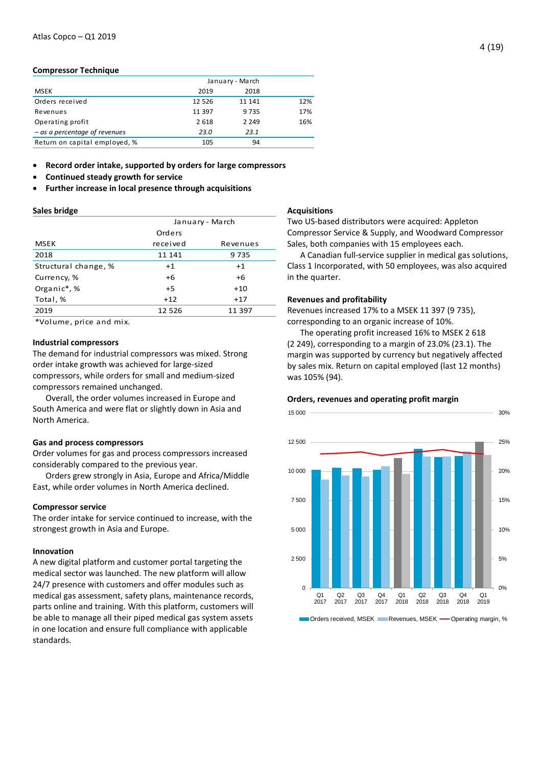# **Compressor Technique**

|                                 | January - March |         |     |
|---------------------------------|-----------------|---------|-----|
| <b>MSEK</b>                     | 2019            | 2018    |     |
| Orders received                 | 12 5 26         | 11 141  | 12% |
| Revenues                        | 11 397          | 9735    | 17% |
| Operating profit                | 2 6 1 8         | 2 2 4 9 | 16% |
| $-$ as a percentage of revenues | 23.0            | 23.1    |     |
| Return on capital employed, %   | 105             | 94      |     |

**Record order intake, supported by orders for large compressors**

- **Continued steady growth for service**
- **Further increase in local presence through acquisitions**

# **Sales bridge**

|                      | January - March |          |  |  |
|----------------------|-----------------|----------|--|--|
|                      | Orders          |          |  |  |
| <b>MSEK</b>          | received        | Revenues |  |  |
| 2018                 | 11 141          | 9735     |  |  |
| Structural change, % | $+1$            | $+1$     |  |  |
| Currency, %          | $+6$            | $+6$     |  |  |
| Organic*,%           | $+5$            | $+10$    |  |  |
| Total, %             | $+12$           | $+17$    |  |  |
| 2019                 | 12 5 26         | 11 397   |  |  |

\*Volume, price and mix.

# **Industrial compressors**

The demand for industrial compressors was mixed. Strong order intake growth was achieved for large-sized compressors, while orders for small and medium-sized compressors remained unchanged.

Overall, the order volumes increased in Europe and South America and were flat or slightly down in Asia and North America.

# **Gas and process compressors**

Order volumes for gas and process compressors increased considerably compared to the previous year.

Orders grew strongly in Asia, Europe and Africa/Middle East, while order volumes in North America declined.

#### **Compressor service**

The order intake for service continued to increase, with the strongest growth in Asia and Europe.

# **Innovation**

A new digital platform and customer portal targeting the medical sector was launched. The new platform will allow 24/7 presence with customers and offer modules such as medical gas assessment, safety plans, maintenance records, parts online and training. With this platform, customers will be able to manage all their piped medical gas system assets in one location and ensure full compliance with applicable standards.

#### **Acquisitions**

Two US-based distributors were acquired: Appleton Compressor Service & Supply, and Woodward Compressor Sales, both companies with 15 employees each.

A Canadian full-service supplier in medical gas solutions, Class 1 Incorporated, with 50 employees, was also acquired in the quarter.

# **Revenues and profitability**

Revenues increased 17% to a MSEK 11 397 (9 735), corresponding to an organic increase of 10%.

The operating profit increased 16% to MSEK 2 618 (2 249), corresponding to a margin of 23.0% (23.1). The margin was supported by currency but negatively affected by sales mix. Return on capital employed (last 12 months) was 105% (94).

# **Orders, revenues and operating profit margin**

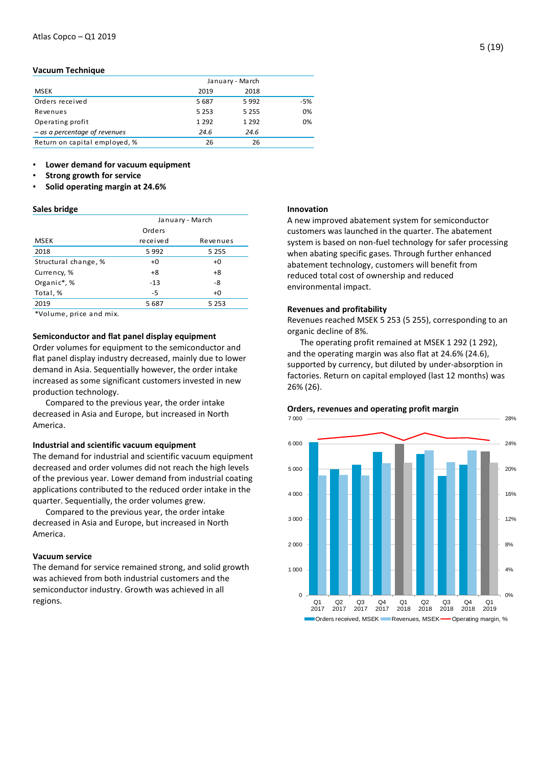#### **Vacuum Technique**

|                                 |         | January - March |     |
|---------------------------------|---------|-----------------|-----|
| <b>MSEK</b>                     | 2019    | 2018            |     |
| Orders received                 | 5 6 8 7 | 5992            | -5% |
| Revenues                        | 5 2 5 3 | 5 2 5 5         | 0%  |
| Operating profit                | 1 2 9 2 | 1 2 9 2         | 0%  |
| $-$ as a percentage of revenues | 24.6    | 24.6            |     |
| Return on capital employed, %   | 26      | 26              |     |

### • **Lower demand for vacuum equipment**

- **Strong growth for service**
- **Solid operating margin at 24.6%**

#### **Sales bridge**

|                      | January - March |          |  |  |
|----------------------|-----------------|----------|--|--|
|                      | Orders          |          |  |  |
| <b>MSEK</b>          | received        | Revenues |  |  |
| 2018                 | 5 9 9 2         | 5 2 5 5  |  |  |
| Structural change, % | $+0$            | $+0$     |  |  |
| Currency, %          | $+8$            | $+8$     |  |  |
| Organic*,%           | $-13$           | -8       |  |  |
| Total, %             | -5              | $+0$     |  |  |
| 2019                 | 5 687           | 5 2 5 3  |  |  |
| $-1$<br>.            |                 |          |  |  |

\*Volume, price and mix.

# **Semiconductor and flat panel display equipment**

Order volumes for equipment to the semiconductor and flat panel display industry decreased, mainly due to lower demand in Asia. Sequentially however, the order intake increased as some significant customers invested in new production technology.

Compared to the previous year, the order intake decreased in Asia and Europe, but increased in North America.

# **Industrial and scientific vacuum equipment**

The demand for industrial and scientific vacuum equipment decreased and order volumes did not reach the high levels of the previous year. Lower demand from industrial coating applications contributed to the reduced order intake in the quarter. Sequentially, the order volumes grew.

Compared to the previous year, the order intake decreased in Asia and Europe, but increased in North America.

### **Vacuum service**

The demand for service remained strong, and solid growth was achieved from both industrial customers and the semiconductor industry. Growth was achieved in all regions.

#### **Innovation**

A new improved abatement system for semiconductor customers was launched in the quarter. The abatement system is based on non-fuel technology for safer processing when abating specific gases. Through further enhanced abatement technology, customers will benefit from reduced total cost of ownership and reduced environmental impact.

# **Revenues and profitability**

Revenues reached MSEK 5 253 (5 255), corresponding to an organic decline of 8%.

The operating profit remained at MSEK 1 292 (1 292), and the operating margin was also flat at 24.6% (24.6), supported by currency, but diluted by under-absorption in factories. Return on capital employed (last 12 months) was 26% (26).



#### **Orders, revenues and operating profit margin**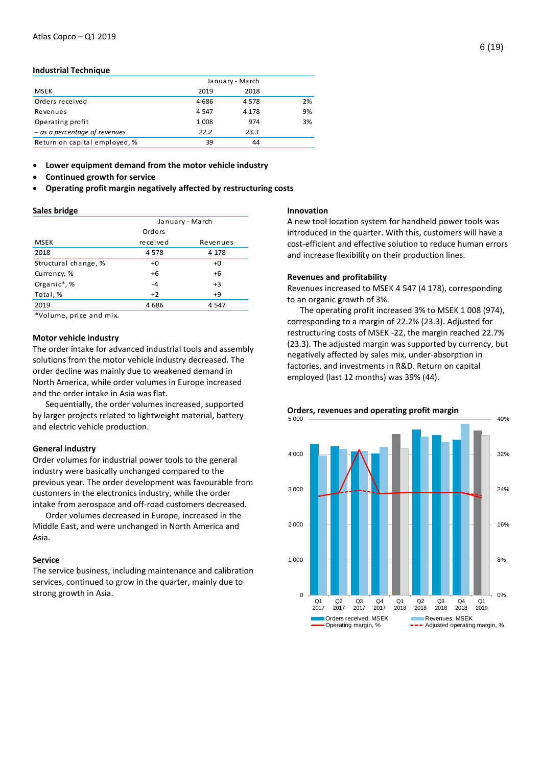#### **Industrial Technique**

|                                 |         | January - March |    |  |
|---------------------------------|---------|-----------------|----|--|
| <b>MSEK</b>                     | 2019    | 2018            |    |  |
| Orders received                 | 4686    | 4578            | 2% |  |
| Revenues                        | 4 5 4 7 | 4 1 7 8         | 9% |  |
| Operating profit                | 1 0 0 8 | 974             | 3% |  |
| $-$ as a percentage of revenues | 22.2    | 23.3            |    |  |
| Return on capital employed, %   | 39      | 44              |    |  |

**Lower equipment demand from the motor vehicle industry** 

- **Continued growth for service**
- **Operating profit margin negatively affected by restructuring costs**

#### **Sales bridge**

|                      | January - March |          |  |  |
|----------------------|-----------------|----------|--|--|
|                      | Orders          |          |  |  |
| <b>MSEK</b>          | received        | Revenues |  |  |
| 2018                 | 4578            | 4 1 7 8  |  |  |
| Structural change, % | $+0$            | $+0$     |  |  |
| Currency, %          | $+6$            | $+6$     |  |  |
| Organic*,%           | $-4$            | $+3$     |  |  |
| Total, %             | $+2$            | $+9$     |  |  |
| 2019                 | 4686            | 4 547    |  |  |
| $-1$<br>.            |                 |          |  |  |

\*Volume, price and mix.

# **Motor vehicle industry**

The order intake for advanced industrial tools and assembly solutions from the motor vehicle industry decreased. The order decline was mainly due to weakened demand in North America, while order volumes in Europe increased and the order intake in Asia was flat.

Sequentially, the order volumes increased, supported by larger projects related to lightweight material, battery and electric vehicle production.

#### **General industry**

Order volumes for industrial power tools to the general industry were basically unchanged compared to the previous year. The order development was favourable from customers in the electronics industry, while the order intake from aerospace and off-road customers decreased.

Order volumes decreased in Europe, increased in the Middle East, and were unchanged in North America and Asia.

### **Service**

The service business, including maintenance and calibration services, continued to grow in the quarter, mainly due to strong growth in Asia.

#### **Innovation**

A new tool location system for handheld power tools was introduced in the quarter. With this, customers will have a cost-efficient and effective solution to reduce human errors and increase flexibility on their production lines.

#### **Revenues and profitability**

Revenues increased to MSEK 4 547 (4 178), corresponding to an organic growth of 3%.

The operating profit increased 3% to MSEK 1 008 (974), corresponding to a margin of 22.2% (23.3). Adjusted for restructuring costs of MSEK -22, the margin reached 22.7% (23.3). The adjusted margin was supported by currency, but negatively affected by sales mix, under-absorption in factories, and investments in R&D. Return on capital employed (last 12 months) was 39% (44).



# **Orders, revenues and operating profit margin**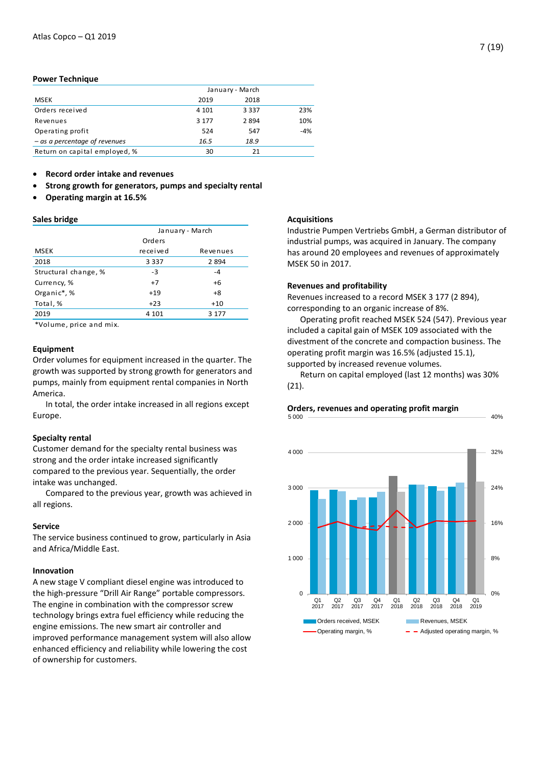# **Power Technique**

|                                 |         | January - March |       |
|---------------------------------|---------|-----------------|-------|
| <b>MSEK</b>                     | 2019    | 2018            |       |
| Orders received                 | 4 1 0 1 | 3 3 3 7         | 23%   |
| Revenues                        | 3 1 7 7 | 2894            | 10%   |
| Operating profit                | 524     | 547             | $-4%$ |
| $-$ as a percentage of revenues | 16.5    | 18.9            |       |
| Return on capital employed, %   | 30      | 21              |       |

**Record order intake and revenues** 

- **Strong growth for generators, pumps and specialty rental**
- **Operating margin at 16.5%**

# **Sales bridge**

|                      | January - March |          |  |
|----------------------|-----------------|----------|--|
|                      | Orders          |          |  |
| <b>MSEK</b>          | received        | Revenues |  |
| 2018                 | 3 3 3 7         | 2 8 9 4  |  |
| Structural change, % | $-3$            | $-4$     |  |
| Currency, %          | $+7$            | $+6$     |  |
| Organic*,%           | $+19$           | $+8$     |  |
| Total, %             | $+23$           | $+10$    |  |
| 2019                 | 4 101           | 3 1 7 7  |  |

\*Volume, price and mix.

# **Equipment**

Order volumes for equipment increased in the quarter. The growth was supported by strong growth for generators and pumps, mainly from equipment rental companies in North America.

In total, the order intake increased in all regions except Europe.

#### **Specialty rental**

Customer demand for the specialty rental business was strong and the order intake increased significantly compared to the previous year. Sequentially, the order intake was unchanged.

Compared to the previous year, growth was achieved in all regions.

# **Service**

The service business continued to grow, particularly in Asia and Africa/Middle East.

# **Innovation**

A new stage V compliant diesel engine was introduced to the high-pressure "Drill Air Range" portable compressors. The engine in combination with the compressor screw technology brings extra fuel efficiency while reducing the engine emissions. The new smart air controller and improved performance management system will also allow enhanced efficiency and reliability while lowering the cost of ownership for customers.

# **Acquisitions**

Industrie Pumpen Vertriebs GmbH, a German distributor of industrial pumps, was acquired in January. The company has around 20 employees and revenues of approximately MSEK 50 in 2017.

# **Revenues and profitability**

Revenues increased to a record MSEK 3 177 (2 894), corresponding to an organic increase of 8%.

Operating profit reached MSEK 524 (547). Previous year included a capital gain of MSEK 109 associated with the divestment of the concrete and compaction business. The operating profit margin was 16.5% (adjusted 15.1), supported by increased revenue volumes.

Return on capital employed (last 12 months) was 30% (21).

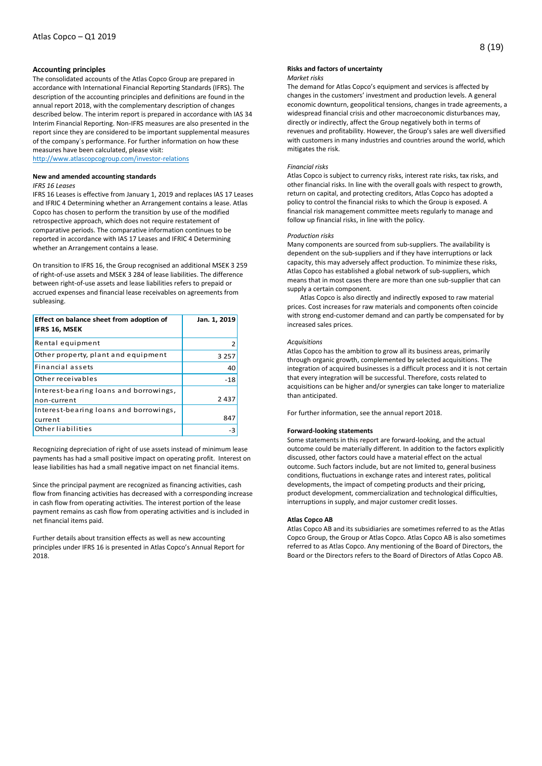#### **Accounting principles**

The consolidated accounts of the Atlas Copco Group are prepared in accordance with International Financial Reporting Standards (IFRS). The description of the accounting principles and definitions are found in the annual report 2018, with the complementary description of changes described below. The interim report is prepared in accordance with IAS 34 Interim Financial Reporting. Non-IFRS measures are also presented in the report since they are considered to be important supplemental measures of the company´s performance. For further information on how these measures have been calculated, please visit:

<http://www.atlascopcogroup.com/investor-relations>

#### **New and amended accounting standards**

#### *IFRS 16 Leases*

IFRS 16 Leases is effective from January 1, 2019 and replaces IAS 17 Leases and IFRIC 4 Determining whether an Arrangement contains a lease. Atlas Copco has chosen to perform the transition by use of the modified retrospective approach, which does not require restatement of comparative periods. The comparative information continues to be reported in accordance with IAS 17 Leases and IFRIC 4 Determining whether an Arrangement contains a lease.

On transition to IFRS 16, the Group recognised an additional MSEK 3 259 of right-of-use assets and MSEK 3 284 of lease liabilities. The difference between right-of-use assets and lease liabilities refers to prepaid or accrued expenses and financial lease receivables on agreements from subleasing.

| Effect on balance sheet from adoption of<br>IFRS 16, MSEK | Jan. 1, 2019 |
|-----------------------------------------------------------|--------------|
| Rental equipment                                          |              |
| Other property, plant and equipment                       | 3 2 5 7      |
| Financial assets                                          | 40           |
| Other receivables                                         | $-18$        |
| Interest-bearing loans and borrowings,<br>non-current     | 2437         |
| Interest-bearing loans and borrowings,<br>current         | 847          |
| Other liabilities                                         |              |

Recognizing depreciation of right of use assets instead of minimum lease payments has had a small positive impact on operating profit. Interest on lease liabilities has had a small negative impact on net financial items.

Since the principal payment are recognized as financing activities, cash flow from financing activities has decreased with a corresponding increase in cash flow from operating activities. The interest portion of the lease payment remains as cash flow from operating activities and is included in net financial items paid.

Further details about transition effects as well as new accounting principles under IFRS 16 is presented in Atlas Copco's Annual Report for 2018.

# **Risks and factors of uncertainty**

#### *Market risks*

The demand for Atlas Copco's equipment and services is affected by changes in the customers' investment and production levels. A general economic downturn, geopolitical tensions, changes in trade agreements, a widespread financial crisis and other macroeconomic disturbances may, directly or indirectly, affect the Group negatively both in terms of revenues and profitability. However, the Group's sales are well diversified with customers in many industries and countries around the world, which mitigates the risk.

#### *Financial risks*

Atlas Copco is subject to currency risks, interest rate risks, tax risks, and other financial risks. In line with the overall goals with respect to growth, return on capital, and protecting creditors, Atlas Copco has adopted a policy to control the financial risks to which the Group is exposed. A financial risk management committee meets regularly to manage and follow up financial risks, in line with the policy.

#### *Production risks*

Many components are sourced from sub-suppliers. The availability is dependent on the sub-suppliers and if they have interruptions or lack capacity, this may adversely affect production. To minimize these risks, Atlas Copco has established a global network of sub-suppliers, which means that in most cases there are more than one sub-supplier that can supply a certain component.

Atlas Copco is also directly and indirectly exposed to raw material prices. Cost increases for raw materials and components often coincide with strong end-customer demand and can partly be compensated for by increased sales prices.

#### *Acquisitions*

Atlas Copco has the ambition to grow all its business areas, primarily through organic growth, complemented by selected acquisitions. The integration of acquired businesses is a difficult process and it is not certain that every integration will be successful. Therefore, costs related to acquisitions can be higher and/or synergies can take longer to materialize than anticipated.

For further information, see the annual report 2018.

#### **Forward-looking statements**

Some statements in this report are forward-looking, and the actual outcome could be materially different. In addition to the factors explicitly discussed, other factors could have a material effect on the actual outcome. Such factors include, but are not limited to, general business conditions, fluctuations in exchange rates and interest rates, political developments, the impact of competing products and their pricing, product development, commercialization and technological difficulties, interruptions in supply, and major customer credit losses.

#### **Atlas Copco AB**

Atlas Copco AB and its subsidiaries are sometimes referred to as the Atlas Copco Group, the Group or Atlas Copco. Atlas Copco AB is also sometimes referred to as Atlas Copco. Any mentioning of the Board of Directors, the Board or the Directors refers to the Board of Directors of Atlas Copco AB.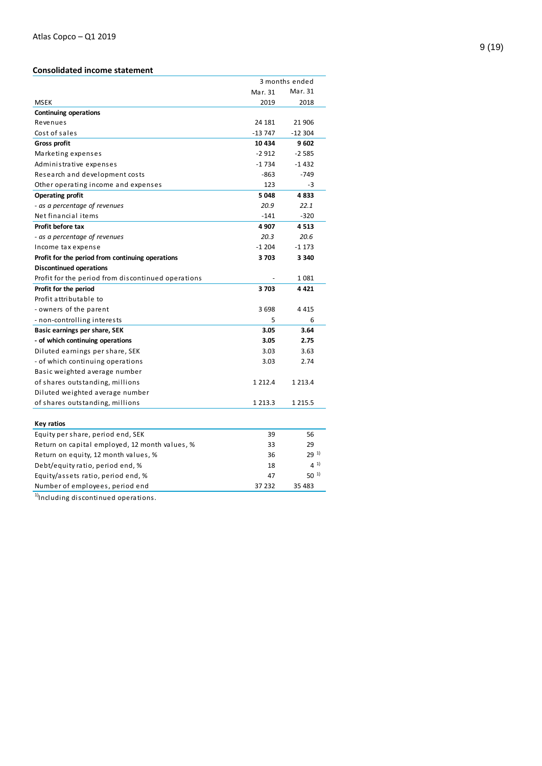# **Consolidated income statement**

|                                                    |             | 3 months ended |
|----------------------------------------------------|-------------|----------------|
|                                                    | Mar. 31     | Mar. 31        |
| <b>MSEK</b>                                        | 2019        | 2018           |
| <b>Continuing operations</b>                       |             |                |
| Revenues                                           | 24 181      | 21 906         |
| Cost of sales                                      | $-13747$    | $-12304$       |
| Gross profit                                       | 10 434      | 9602           |
| Marketing expenses                                 | $-2912$     | $-2585$        |
| Administrative expenses                            | $-1734$     | $-1432$        |
| Research and development costs                     | -863        | $-749$         |
| Other operating income and expenses                | 123         | -3             |
| <b>Operating profit</b>                            | 5 0 48      | 4833           |
| - as a percentage of revenues                      | 20.9        | 22.1           |
| Net financial items                                | $-141$      | $-320$         |
| Profit before tax                                  | 4 9 0 7     | 4513           |
| - as a percentage of revenues                      | 20.3        | 20.6           |
| Income tax expense                                 | $-1204$     | $-1173$        |
| Profit for the period from continuing operations   | 3703        | 3 3 4 0        |
| <b>Discontinued operations</b>                     |             |                |
| Profit for the period from discontinued operations |             | 1081           |
| Profit for the period                              | 3703        | 4421           |
| Profit attributable to                             |             |                |
| - owners of the parent                             | 3698        | 4 4 1 5        |
| - non-controlling interests                        | 5           | 6              |
| Basic earnings per share, SEK                      | 3.05        | 3.64           |
| - of which continuing operations                   | 3.05        | 2.75           |
| Diluted earnings per share, SEK                    | 3.03        | 3.63           |
| - of which continuing operations                   | 3.03        | 2.74           |
| Basic weighted average number                      |             |                |
| of shares outstanding, millions                    | 1 2 1 2 . 4 | 1 2 1 3 . 4    |
| Diluted weighted average number                    |             |                |
| of shares outstanding, millions                    | 1 2 1 3 . 3 | 1 2 1 5 . 5    |
|                                                    |             |                |
| <b>Key ratios</b>                                  |             |                |
| Equity per share, period end, SEK                  | 39          | 56             |
| Return on capital employed, 12 month values, %     | 33          | 29             |
| Return on equity, 12 month values, %               | 36          | $29^{11}$      |
| Debt/equity ratio, period end, %                   | 18          | $4^{1}$        |
| Equity/assets ratio, period end, %                 | 47          | $50^{1}$       |
| Number of employees, period end                    | 37 232      | 35 483         |

 $1)$ Including discontinued operations.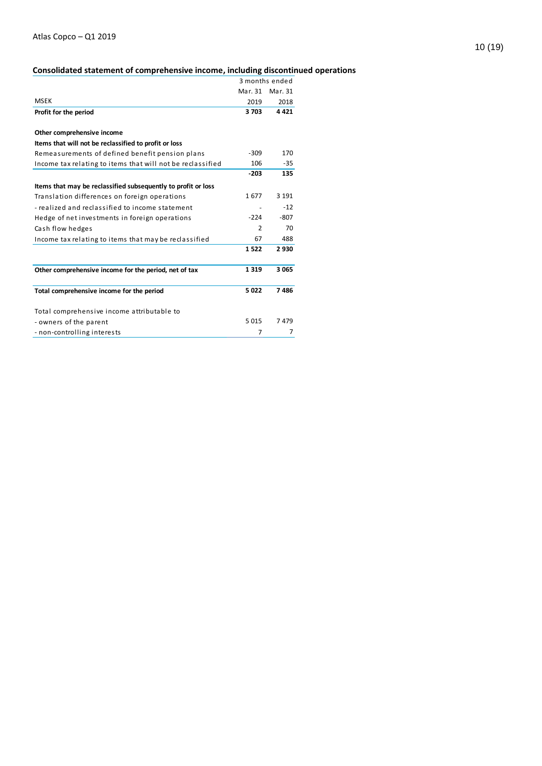# **Consolidated statement of comprehensive income, including discontinued operations**

|                                                               |               | 3 months ended |
|---------------------------------------------------------------|---------------|----------------|
|                                                               | Mar. 31       | Mar. 31        |
| <b>MSEK</b>                                                   | 2019          | 2018           |
| Profit for the period                                         | 3703          | 4 4 2 1        |
|                                                               |               |                |
| Other comprehensive income                                    |               |                |
| Items that will not be reclassified to profit or loss         |               |                |
| Remeasurements of defined benefit pension plans               | $-309$        | 170            |
| Income tax relating to items that will not be reclassified    | 106           | $-35$          |
|                                                               | $-203$        | 135            |
| Items that may be reclassified subsequently to profit or loss |               |                |
| Translation differences on foreign operations                 | 1677          | 3 1 9 1        |
| - realized and reclassified to income statement               |               | $-12$          |
| Hedge of net investments in foreign operations                | $-224$        | $-807$         |
| Cash flow hedges                                              | $\mathcal{P}$ | 70             |
| Income tax relating to items that may be reclassified         | 67            | 488            |
|                                                               | 1522          | 2930           |
| Other comprehensive income for the period, net of tax         | 1319          | 3 0 6 5        |
| Total comprehensive income for the period                     | 5022          | 7486           |
| Total comprehensive income attributable to                    |               |                |
| - owners of the parent                                        | 5015          | 7479           |
| - non-controlling interests                                   | 7             | 7              |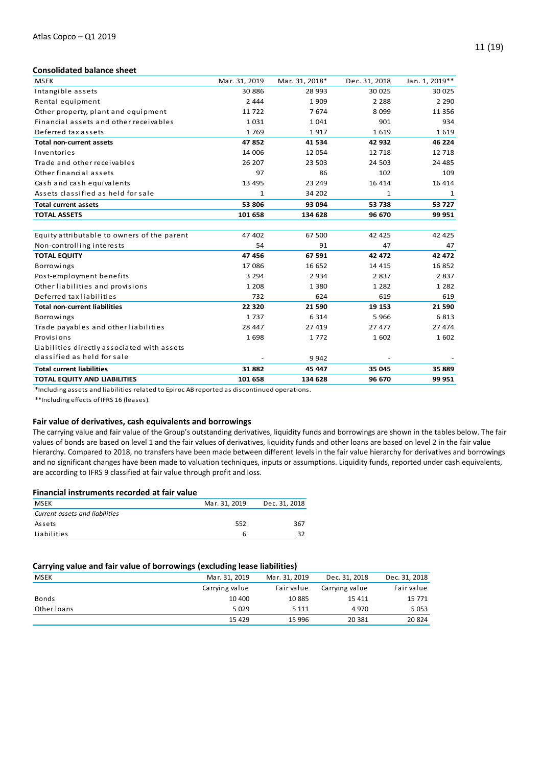# **Consolidated balance sheet**

| <b>MSEK</b>                                 | Mar. 31, 2019 | Mar. 31, 2018* | Dec. 31, 2018 | Jan. 1, 2019** |
|---------------------------------------------|---------------|----------------|---------------|----------------|
| Intangible assets                           | 30 886        | 28 9 93        | 30 025        | 30 025         |
| Rental equipment                            | 2 4 4 4       | 1909           | 2 2 8 8       | 2 2 9 0        |
| Other property, plant and equipment         | 11722         | 7674           | 8 0 9 9       | 11 3 5 6       |
| Financial assets and other receivables      | 1031          | 1041           | 901           | 934            |
| Deferred tax assets                         | 1769          | 1917           | 1619          | 1619           |
| <b>Total non-current assets</b>             | 47852         | 41 534         | 42 932        | 46 224         |
| Inventories                                 | 14 006        | 12 054         | 12 7 18       | 12 7 18        |
| Trade and other receivables                 | 26 207        | 23 503         | 24 503        | 24 4 85        |
| Other financial assets                      | 97            | 86             | 102           | 109            |
| Cash and cash equivalents                   | 13 4 95       | 23 249         | 16 4 14       | 16 4 14        |
| Assets classified as held for sale          | 1             | 34 202         | 1             | 1              |
| <b>Total current assets</b>                 | 53 806        | 93 094         | 53 738        | 53 727         |
| <b>TOTAL ASSETS</b>                         | 101 658       | 134 628        | 96 670        | 99 951         |
|                                             |               |                |               |                |
| Equity attributable to owners of the parent | 47 402        | 67 500         | 42 4 25       | 42 4 25        |
| Non-controlling interests                   | 54            | 91             | 47            | 47             |
| <b>TOTAL EQUITY</b>                         | 47 456        | 67 591         | 42 472        | 42 472         |
| <b>Borrowings</b>                           | 17 086        | 16 652         | 14 4 15       | 16852          |
| Post-employment benefits                    | 3 2 9 4       | 2934           | 2837          | 2837           |
| Other liabilities and provisions            | 1 2 0 8       | 1 3 8 0        | 1 2 8 2       | 1 2 8 2        |
| Deferred tax liabilities                    | 732           | 624            | 619           | 619            |
| <b>Total non-current liabilities</b>        | 22 3 20       | 21 590         | 19 153        | 21 590         |
| <b>Borrowings</b>                           | 1737          | 6 3 1 4        | 5966          | 6813           |
| Trade payables and other liabilities        | 28 447        | 27 419         | 27 477        | 27 474         |
| Provisions                                  | 1698          | 1772           | 1602          | 1602           |
| Liabilities directly associated with assets |               |                |               |                |
| classified as held for sale                 |               | 9942           |               |                |
| <b>Total current liabilities</b>            | 31882         | 45 447         | 35 045        | 35 889         |
| TOTAL EQUITY AND LIABILITIES                | 101 658       | 134 628        | 96 670        | 99 951         |

\*Including assets and liabilities related to Epiroc AB reported as discontinued operations.

\*\*Including effects of IFRS 16 (leases).

# **Fair value of derivatives, cash equivalents and borrowings**

The carrying value and fair value of the Group's outstanding derivatives, liquidity funds and borrowings are shown in the tables below. The fair values of bonds are based on level 1 and the fair values of derivatives, liquidity funds and other loans are based on level 2 in the fair value hierarchy. Compared to 2018, no transfers have been made between different levels in the fair value hierarchy for derivatives and borrowings and no significant changes have been made to valuation techniques, inputs or assumptions. Liquidity funds, reported under cash equivalents, are according to IFRS 9 classified at fair value through profit and loss.

# **Financial instruments recorded at fair value**

| MSEK                           | Mar. 31, 2019 | Dec. 31, 2018 |
|--------------------------------|---------------|---------------|
| Current assets and liabilities |               |               |
| Assets                         | 552           | 367           |
| Liabilities                    |               |               |

# **Carrying value and fair value of borrowings (excluding lease liabilities)**

| <b>MSEK</b> | Mar. 31, 2019  | Mar. 31, 2019 | Dec. 31, 2018  | Dec. 31, 2018 |
|-------------|----------------|---------------|----------------|---------------|
|             | Carrying value | Fair value    | Carrying value | Fair value    |
| Bonds       | 10 400         | 10 885        | 15 4 11        | 15 771        |
| Other loans | 5029           | 5 1 1 1       | 4970           | 5053          |
|             | 15 4 29        | 15 996        | 20 381         | 20 8 24       |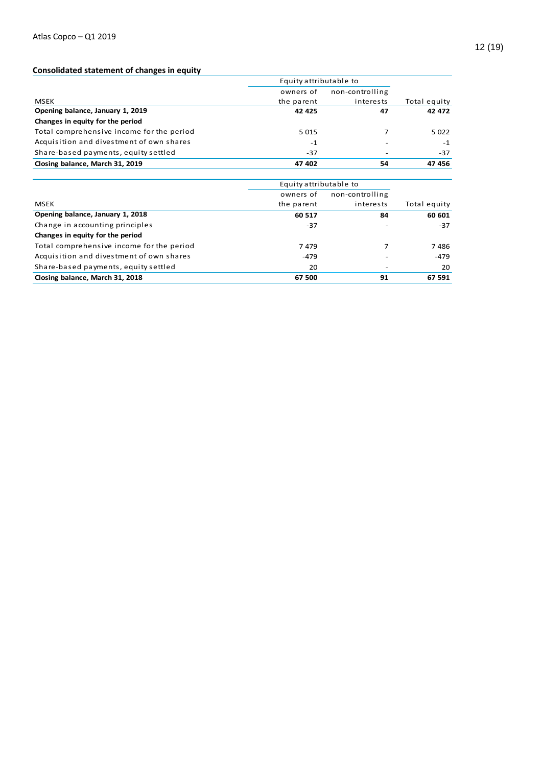# **Consolidated statement of changes in equity**

|                                           | Equity attributable to |                 |              |
|-------------------------------------------|------------------------|-----------------|--------------|
|                                           | owners of              | non-controlling |              |
| <b>MSEK</b>                               | the parent             | interests       | Total equity |
| Opening balance, January 1, 2019          | 42 4 25                | 47              | 42 472       |
| Changes in equity for the period          |                        |                 |              |
| Total comprehensive income for the period | 5 0 1 5                |                 | 5022         |
| Acquisition and divestment of own shares  | $-1$                   |                 | $-1$         |
| Share-based payments, equity settled      | $-37$                  |                 | $-37$        |
| Closing balance, March 31, 2019           | 47 402                 | 54              | 47 456       |

| Closing balance, March 31, 2019           | 47 402                 | 54              | 47 456       |
|-------------------------------------------|------------------------|-----------------|--------------|
|                                           |                        |                 |              |
|                                           | Equity attributable to |                 |              |
|                                           | owners of              | non-controlling |              |
| MSEK                                      | the parent             | interests       | Total equity |
| Opening balance, January 1, 2018          | 60 517                 | 84              | 60 601       |
| Change in accounting principles           | $-37$                  |                 | -37          |
| Changes in equity for the period          |                        |                 |              |
| Total comprehensive income for the period | 7479                   |                 | 7486         |
| Acquisition and divestment of own shares  | $-479$                 |                 | $-479$       |
| Share-based payments, equity settled      | 20                     |                 | 20           |
| Closing balance, March 31, 2018           | 67 500                 | 91              | 67 591       |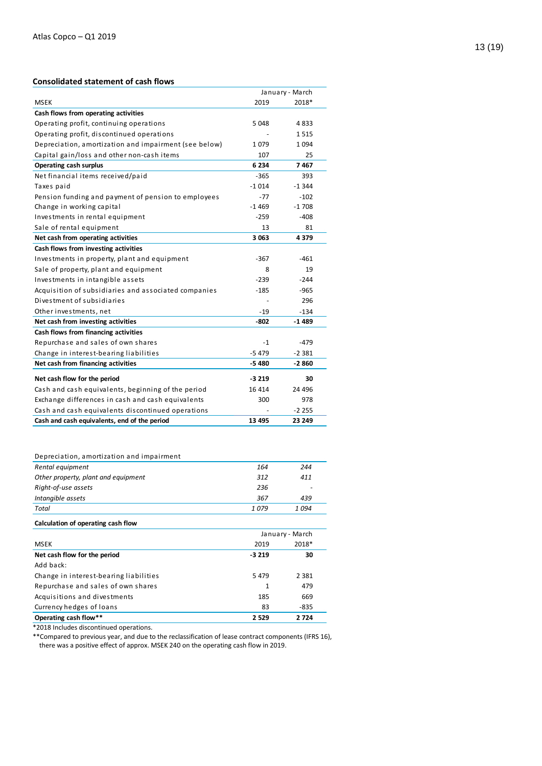# **Consolidated statement of cash flows**

|                                                       | January - March |          |
|-------------------------------------------------------|-----------------|----------|
| <b>MSEK</b>                                           | 2019            | 2018*    |
| Cash flows from operating activities                  |                 |          |
| Operating profit, continuing operations               | 5048            | 4 833    |
| Operating profit, discontinued operations             |                 | 1515     |
| Depreciation, amortization and impairment (see below) | 1079            | 1 0 9 4  |
| Capital gain/loss and other non-cash items            | 107             | 25       |
| <b>Operating cash surplus</b>                         | 6 2 3 4         | 7467     |
| Net financial items received/paid                     | $-365$          | 393      |
| Taxes paid                                            | $-1014$         | $-1.344$ |
| Pension funding and payment of pension to employees   | $-77$           | $-102$   |
| Change in working capital                             | -1469           | $-1708$  |
| Investments in rental equipment                       | $-259$          | $-408$   |
| Sale of rental equipment                              | 13              | 81       |
| Net cash from operating activities                    | 3063            | 4379     |
| Cash flows from investing activities                  |                 |          |
| Investments in property, plant and equipment          | -367            | -461     |
| Sale of property, plant and equipment                 | 8               | 19       |
| Investments in intangible assets                      | $-239$          | $-244$   |
| Acquisition of subsidiaries and associated companies  | $-185$          | -965     |
| Divestment of subsidiaries                            |                 | 296      |
| Other investments, net                                | $-19$           | $-134$   |
| Net cash from investing activities                    | $-802$          | $-1489$  |
| Cash flows from financing activities                  |                 |          |
| Repurchase and sales of own shares                    | $-1$            | $-479$   |
| Change in interest-bearing liabilities                | $-5479$         | $-2381$  |
| Net cash from financing activities                    | $-5480$         | $-2860$  |
| Net cash flow for the period                          | $-3219$         | 30       |
| Cash and cash equivalents, beginning of the period    | 16 4 14         | 24 4 96  |
| Exchange differences in cash and cash equivalents     | 300             | 978      |
| Cash and cash equivalents discontinued operations     |                 | $-2255$  |
| Cash and cash equivalents, end of the period          | 13 4 95         | 23 249   |

| Depreciation, amortization and impairment |  |
|-------------------------------------------|--|
|                                           |  |

| Rental equipment                    | 164  | 244   |
|-------------------------------------|------|-------|
| Other property, plant and equipment | 312  | 411   |
| Right-of-use assets                 | 236  |       |
| Intangible assets                   | 367  | 439   |
| Total                               | 1079 | 1 094 |
|                                     |      |       |

#### **Calculation of operating cash flow**

|                                        | January - March |         |  |
|----------------------------------------|-----------------|---------|--|
| <b>MSEK</b>                            | 2019            | 2018*   |  |
| Net cash flow for the period           | $-3219$         | 30      |  |
| Add back:                              |                 |         |  |
| Change in interest-bearing liabilities | 5479            | 2 3 8 1 |  |
| Repurchase and sales of own shares     | $\mathbf{1}$    | 479     |  |
| Acquisitions and divestments           | 185             | 669     |  |
| Currency hedges of loans               | 83              | $-835$  |  |
| Operating cash flow**                  | 2 5 2 9         | 2 7 2 4 |  |

\*2018 Includes discontinued operations.

\*\*Compared to previous year, and due to the reclassification of lease contract components (IFRS 16), there was a positive effect of approx. MSEK 240 on the operating cash flow in 2019.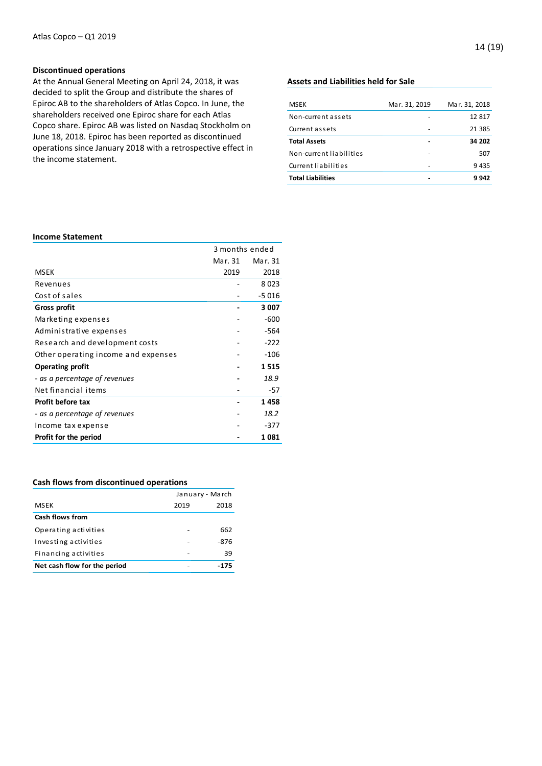# **Discontinued operations**

At the Annual General Meeting on April 24, 2018, it was decided to split the Group and distribute the shares of Epiroc AB to the shareholders of Atlas Copco. In June, the shareholders received one Epiroc share for each Atlas Copco share. Epiroc AB was listed on Nasdaq Stockholm on June 18, 2018. Epiroc has been reported as discontinued operations since January 2018 with a retrospective effect in the income statement.

# **Assets and Liabilities held for Sale**

| <b>MSEK</b>              | Mar. 31, 2019 | Mar. 31, 2018 |
|--------------------------|---------------|---------------|
| Non-current assets       |               | 12817         |
| Current assets           |               | 21 3 8 5      |
| <b>Total Assets</b>      |               | 34 202        |
| Non-current liabilities  |               | 507           |
| Current liabilities      |               | 9435          |
| <b>Total Liabilities</b> |               | 9 942         |

# **Income Statement**

|                                     | 3 months ended |         |
|-------------------------------------|----------------|---------|
|                                     | Mar. 31        | Mar. 31 |
| <b>MSEK</b>                         | 2019           | 2018    |
| Revenues                            |                | 8023    |
| Cost of sales                       |                | $-5016$ |
| Gross profit                        |                | 3 0 0 7 |
| Marketing expenses                  |                | $-600$  |
| Administrative expenses             |                | -564    |
| Research and development costs      |                | $-222$  |
| Other operating income and expenses |                | $-106$  |
| <b>Operating profit</b>             |                | 1515    |
| - as a percentage of revenues       |                | 18.9    |
| Net financial items                 |                | -57     |
| Profit before tax                   |                | 1458    |
| - as a percentage of revenues       |                | 18.2    |
| Income tax expense                  |                | $-377$  |
| Profit for the period               |                | 1 081   |

# **Cash flows from discontinued operations**

|                              | January - March |      |
|------------------------------|-----------------|------|
| MSEK                         | 2019            | 2018 |
| <b>Cash flows from</b>       |                 |      |
| Operating activities         |                 | 662  |
| Investing activities         |                 | -876 |
| Financing activities         |                 | 39   |
| Net cash flow for the period |                 | -175 |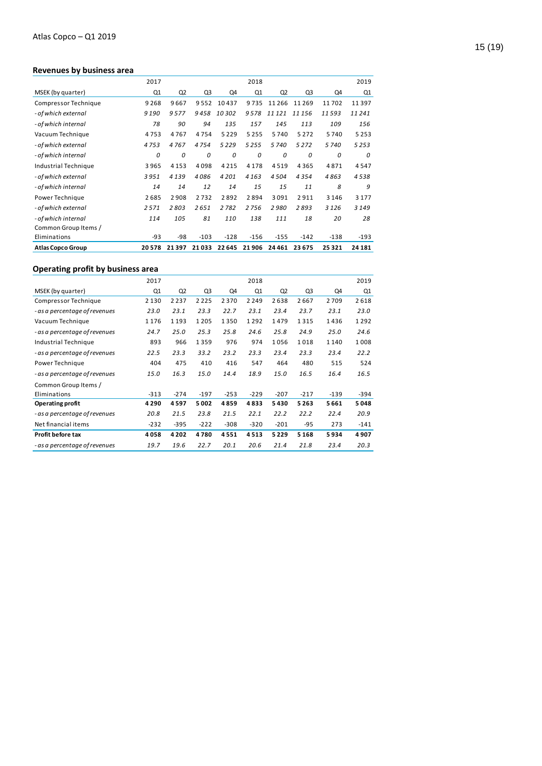# **Revenues by business area**

|                          | 2017  |                |                |         | 2018    |        |                |          | 2019    |
|--------------------------|-------|----------------|----------------|---------|---------|--------|----------------|----------|---------|
| MSEK (by quarter)        | Q1    | Q <sub>2</sub> | Q <sub>3</sub> | Q4      | Q1      | Q2     | Q <sub>3</sub> | Q4       | Q1      |
| Compressor Technique     | 9268  | 9667           | 9552           | 10437   | 9735    | 11266  | 11 2 6 9       | 11702    | 11397   |
| - of which external      | 9190  | 9577           | 9458           | 10302   | 9578    | 11 121 | 11156          | 11593    | 11241   |
| - of which internal      | 78    | 90             | 94             | 135     | 157     | 145    | 113            | 109      | 156     |
| Vacuum Technique         | 4753  | 4767           | 4754           | 5 2 2 9 | 5 2 5 5 | 5740   | 5 2 7 2        | 5740     | 5 2 5 3 |
| - of which external      | 4753  | 4767           | 4754           | 5229    | 5255    | 5740   | 5272           | 5740     | 5253    |
| - of which internal      | 0     | 0              | 0              | 0       | 0       | 0      | 0              | $\Omega$ | 0       |
| Industrial Technique     | 3965  | 4 1 5 3        | 4098           | 4215    | 4 1 7 8 | 4519   | 4365           | 4871     | 4547    |
| - of which external      | 3951  | 4139           | 4086           | 4201    | 4163    | 4504   | 4354           | 4863     | 4538    |
| - of which internal      | 14    | 14             | 12             | 14      | 15      | 15     | 11             | 8        | 9       |
| Power Technique          | 2685  | 2908           | 2732           | 2892    | 2894    | 3091   | 2911           | 3 1 4 6  | 3 1 7 7 |
| - of which external      | 2571  | 2803           | 2651           | 2782    | 2756    | 2980   | 2893           | 3 1 2 6  | 3149    |
| - of which internal      | 114   | 105            | 81             | 110     | 138     | 111    | 18             | 20       | 28      |
| Common Group Items /     |       |                |                |         |         |        |                |          |         |
| Eliminations             | $-93$ | -98            | $-103$         | $-128$  | $-156$  | $-155$ | $-142$         | $-138$   | -193    |
| <b>Atlas Copco Group</b> | 20578 | 21397          | 21033          | 22 645  | 21906   | 24461  | 23 675         | 25321    | 24 18 1 |

# **Operating profit by business area**

|                               | 2017    |                |         |        | 2018    |        |                |         | 2019   |
|-------------------------------|---------|----------------|---------|--------|---------|--------|----------------|---------|--------|
| MSEK (by quarter)             | Q1      | Q <sub>2</sub> | Q3      | Q4     | Q1      | Q2     | Q <sub>3</sub> | Q4      | Q1     |
| Compressor Technique          | 2 1 3 0 | 2 2 3 7        | 2 2 2 5 | 2370   | 2 2 4 9 | 2638   | 2667           | 2709    | 2618   |
| - as a percentage of revenues | 23.0    | 23.1           | 23.3    | 22.7   | 23.1    | 23.4   | 23.7           | 23.1    | 23.0   |
| Vacuum Technique              | 1176    | 1 1 9 3        | 1 2 0 5 | 1350   | 1292    | 1479   | 1315           | 1436    | 1292   |
| - as a percentage of revenues | 24.7    | 25.0           | 25.3    | 25.8   | 24.6    | 25.8   | 24.9           | 25.0    | 24.6   |
| Industrial Technique          | 893     | 966            | 1359    | 976    | 974     | 1056   | 1018           | 1 1 4 0 | 1008   |
| - as a percentage of revenues | 22.5    | 23.3           | 33.2    | 23.2   | 23.3    | 23.4   | 23.3           | 23.4    | 22.2   |
| Power Technique               | 404     | 475            | 410     | 416    | 547     | 464    | 480            | 515     | 524    |
| - as a percentage of revenues | 15.0    | 16.3           | 15.0    | 14.4   | 18.9    | 15.0   | 16.5           | 16.4    | 16.5   |
| Common Group Items /          |         |                |         |        |         |        |                |         |        |
| Eliminations                  | $-313$  | $-274$         | $-197$  | $-253$ | $-229$  | $-207$ | $-217$         | $-139$  | $-394$ |
| Operating profit              | 4 2 9 0 | 4597           | 5002    | 4859   | 4833    | 5430   | 5 2 6 3        | 5661    | 5048   |
| - as a percentage of revenues | 20.8    | 21.5           | 23.8    | 21.5   | 22.1    | 22.2   | 22.2           | 22.4    | 20.9   |
| Net financial items           | -232    | $-395$         | $-222$  | $-308$ | $-320$  | $-201$ | $-95$          | 273     | $-141$ |
| Profit before tax             | 4058    | 4 2 0 2        | 4780    | 4551   | 4513    | 5229   | 5 1 6 8        | 5934    | 4907   |
| - as a percentage of revenues | 19.7    | 19.6           | 22.7    | 20.1   | 20.6    | 21.4   | 21.8           | 23.4    | 20.3   |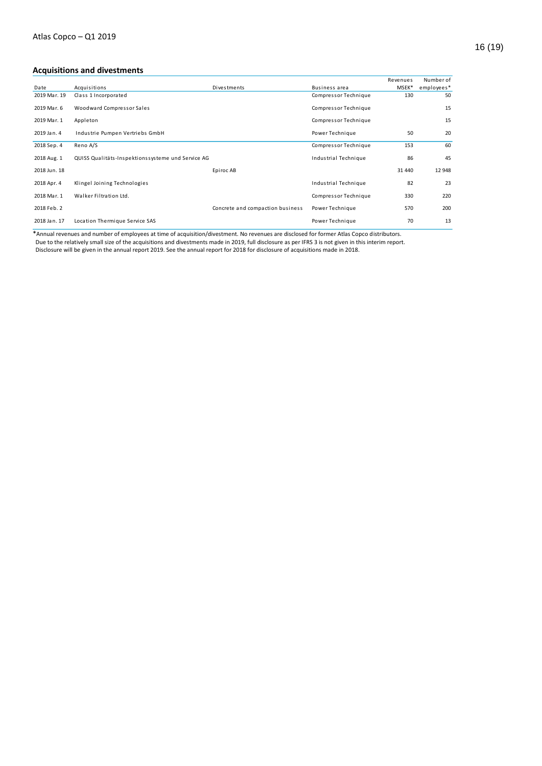|              |                                                   |                                  |                      | Revenues | Number of  |
|--------------|---------------------------------------------------|----------------------------------|----------------------|----------|------------|
| Date         | Acquisitions                                      | Divestments                      | Business area        | MSEK*    | employees* |
| 2019 Mar. 19 | Class 1 Incorporated                              |                                  | Compressor Technique | 130      | 50         |
| 2019 Mar. 6  | Woodward Compressor Sales                         |                                  | Compressor Technique |          | 15         |
| 2019 Mar. 1  | Appleton                                          |                                  | Compressor Technique |          | 15         |
| 2019 Jan. 4  | Industrie Pumpen Vertriebs GmbH                   |                                  | Power Technique      | 50       | 20         |
| 2018 Sep. 4  | Reno A/S                                          |                                  | Compressor Technique | 153      | 60         |
| 2018 Aug. 1  | QUISS Qualitäts-Inspektionssysteme und Service AG |                                  | Industrial Technique | 86       | 45         |
| 2018 Jun. 18 |                                                   | Epiroc AB                        |                      | 31 440   | 12 948     |
| 2018 Apr. 4  | Klingel Joining Technologies                      |                                  | Industrial Technique | 82       | 23         |
| 2018 Mar. 1  | Walker Filtration Ltd.                            |                                  | Compressor Technique | 330      | 220        |
| 2018 Feb. 2  |                                                   | Concrete and compaction business | Power Technique      | 570      | 200        |
| 2018 Jan. 17 | Location Thermique Service SAS                    |                                  | Power Technique      | 70       | 13         |

\*Annual revenues and number of employees at time of acquisition/divestment. No revenues are disclosed for former Atlas Copco distributors.

Due to the relatively small size of the acquisitions and divestments made in 2019, full disclosure as per IFRS 3 is not given in this interim report.

Disclosure will be given in the annual report 2019. See the annual report for 2018 for disclosure of acquisitions made in 2018.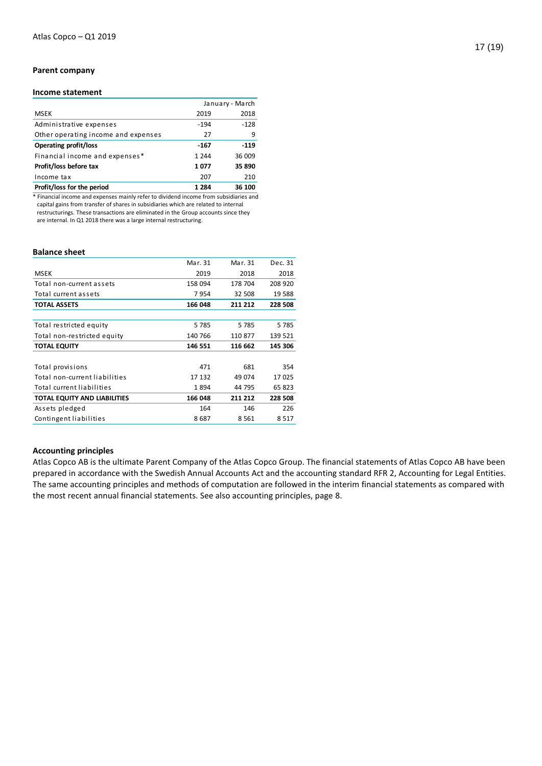# **Parent company**

# **Income statement**

|                                     |         | January - March |
|-------------------------------------|---------|-----------------|
| <b>MSEK</b>                         | 2019    | 2018            |
| Administrative expenses             | $-194$  | $-128$          |
| Other operating income and expenses | 27      | 9               |
| <b>Operating profit/loss</b>        | $-167$  | $-119$          |
| Financial income and expenses*      | 1 2 4 4 | 36 009          |
| Profit/loss before tax              | 1077    | 35 890          |
| Income tax                          | 207     | 210             |
| Profit/loss for the period          | 1 2 8 4 | 36 100          |
|                                     |         |                 |

\* Financial income and expenses mainly refer to dividend income from subsidiaries and capital gains from transfer of shares in subsidiaries which are related to internal restructurings. These transactions are eliminated in the Group accounts since they are internal. In Q1 2018 there was a large internal restructuring.

#### **Balance sheet**

|                               | Mar. 31 | Mar. 31 | Dec. 31 |
|-------------------------------|---------|---------|---------|
| <b>MSEK</b>                   | 2019    | 2018    | 2018    |
| Total non-current assets      | 158 094 | 178 704 | 208 920 |
| Total current assets          | 7954    | 32 508  | 19588   |
| <b>TOTAL ASSETS</b>           | 166 048 | 211 212 | 228 508 |
|                               |         |         |         |
| Total restricted equity       | 5785    | 5785    | 5785    |
| Total non-restricted equity   | 140 766 | 110 877 | 139 521 |
| <b>TOTAL EQUITY</b>           | 146 551 | 116 662 | 145 306 |
|                               |         |         |         |
| Total provisions              | 471     | 681     | 354     |
| Total non-current liabilities | 17 132  | 49 0 74 | 17025   |
| Total current liabilities     | 1894    | 44 795  | 65 823  |
| TOTAL EQUITY AND LIABILITIES  | 166 048 | 211 212 | 228 508 |
| Assets pledged                | 164     | 146     | 226     |
| Contingent liabilities        | 8687    | 8561    | 8517    |
|                               |         |         |         |

### **Accounting principles**

Atlas Copco AB is the ultimate Parent Company of the Atlas Copco Group. The financial statements of Atlas Copco AB have been prepared in accordance with the Swedish Annual Accounts Act and the accounting standard RFR 2, Accounting for Legal Entities. The same accounting principles and methods of computation are followed in the interim financial statements as compared with the most recent annual financial statements. See also accounting principles, page 8.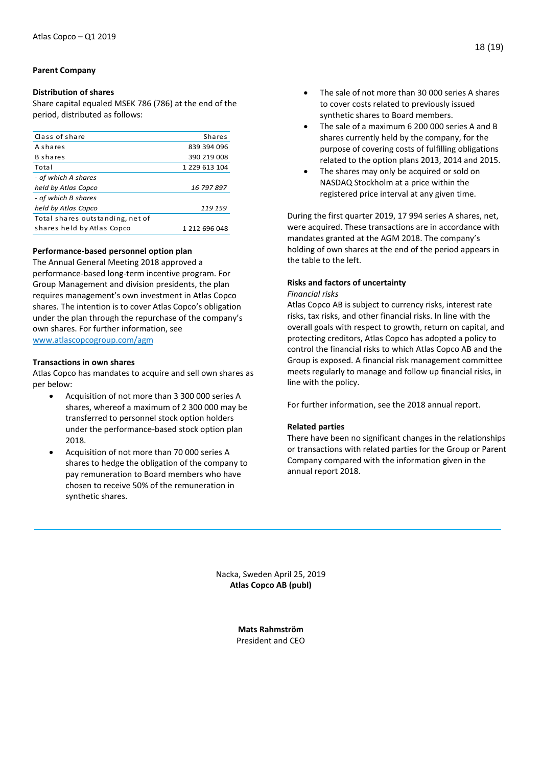# **Parent Company**

# **Distribution of shares**

Share capital equaled MSEK 786 (786) at the end of the period, distributed as follows:

| Class of share                   | <b>Shares</b> |
|----------------------------------|---------------|
| A shares                         | 839 394 096   |
| <b>B</b> shares                  | 390 219 008   |
| Total                            | 1 229 613 104 |
| - of which A shares              |               |
| held by Atlas Copco              | 16 797 897    |
| - of which B shares              |               |
| held by Atlas Copco              | 119 159       |
| Total shares outstanding, net of |               |
| shares held by Atlas Copco       | 1 212 696 048 |
|                                  |               |

# **Performance-based personnel option plan**

The Annual General Meeting 2018 approved a performance-based long-term incentive program. For Group Management and division presidents, the plan requires management's own investment in Atlas Copco shares. The intention is to cover Atlas Copco's obligation under the plan through the repurchase of the company's own shares. For further information, see [www.atlascopcogroup.com/agm](http://www.atlascopcogroup.com/agm) 

# **Transactions in own shares**

Atlas Copco has mandates to acquire and sell own shares as per below:

- Acquisition of not more than 3 300 000 series A shares, whereof a maximum of 2 300 000 may be transferred to personnel stock option holders under the performance-based stock option plan 2018.
- Acquisition of not more than 70 000 series A shares to hedge the obligation of the company to pay remuneration to Board members who have chosen to receive 50% of the remuneration in synthetic shares.
- The sale of not more than 30 000 series A shares to cover costs related to previously issued synthetic shares to Board members.
- The sale of a maximum 6 200 000 series A and B shares currently held by the company, for the purpose of covering costs of fulfilling obligations related to the option plans 2013, 2014 and 2015.
- The shares may only be acquired or sold on NASDAQ Stockholm at a price within the registered price interval at any given time.

During the first quarter 2019, 17 994 series A shares, net, were acquired. These transactions are in accordance with mandates granted at the AGM 2018. The company's holding of own shares at the end of the period appears in the table to the left.

# **Risks and factors of uncertainty**

# *Financial risks*

Atlas Copco AB is subject to currency risks, interest rate risks, tax risks, and other financial risks. In line with the overall goals with respect to growth, return on capital, and protecting creditors, Atlas Copco has adopted a policy to control the financial risks to which Atlas Copco AB and the Group is exposed. A financial risk management committee meets regularly to manage and follow up financial risks, in line with the policy.

For further information, see the 2018 annual report.

# **Related parties**

There have been no significant changes in the relationships or transactions with related parties for the Group or Parent Company compared with the information given in the annual report 2018.

Nacka, Sweden April 25, 2019 **Atlas Copco AB (publ)**

> **Mats Rahmström** President and CEO